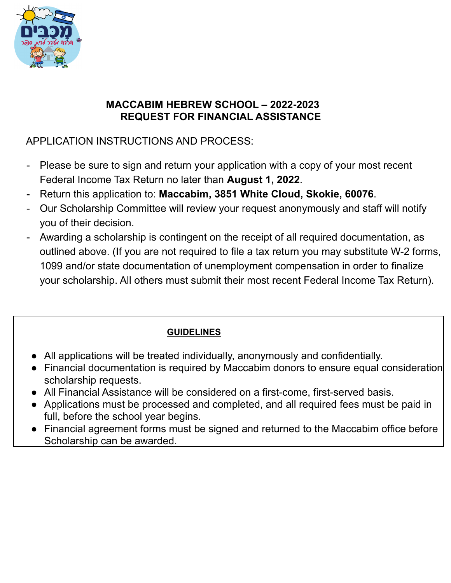

### **MACCABIM HEBREW SCHOOL – 2022-2023 REQUEST FOR FINANCIAL ASSISTANCE**

## APPLICATION INSTRUCTIONS AND PROCESS:

- Please be sure to sign and return your application with a copy of your most recent Federal Income Tax Return no later than **August 1, 2022**.
- Return this application to: **Maccabim, 3851 White Cloud, Skokie, 60076**.
- Our Scholarship Committee will review your request anonymously and staff will notify you of their decision.
- Awarding a scholarship is contingent on the receipt of all required documentation, as outlined above. (If you are not required to file a tax return you may substitute W-2 forms, 1099 and/or state documentation of unemployment compensation in order to finalize your scholarship. All others must submit their most recent Federal Income Tax Return).

## **GUIDELINES**

- All applications will be treated individually, anonymously and confidentially.
- Financial documentation is required by Maccabim donors to ensure equal consideration scholarship requests.
- All Financial Assistance will be considered on a first-come, first-served basis.
- Applications must be processed and completed, and all required fees must be paid in full, before the school year begins.
- Financial agreement forms must be signed and returned to the Maccabim office before Scholarship can be awarded.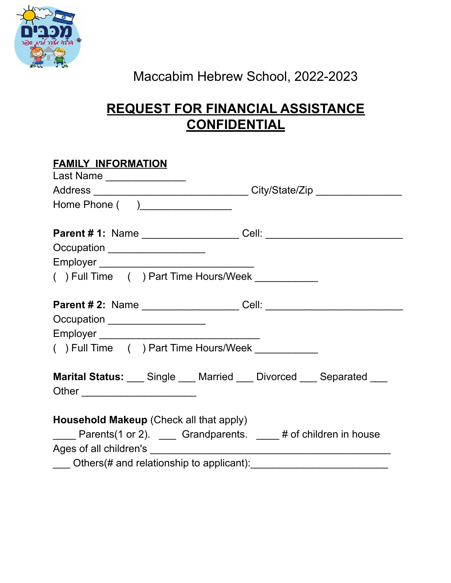

# Maccabim Hebrew School, 2022-2023

## **REQUEST FOR FINANCIAL ASSISTANCE CONFIDENTIAL**

| <b>FAMILY INFORMATION</b>                                                        |
|----------------------------------------------------------------------------------|
| Last Name ________________                                                       |
| Address __________________________________City/State/Zip _______________________ |
| Home Phone ( )__________________                                                 |
|                                                                                  |
| Occupation ____________________                                                  |
|                                                                                  |
| () Full Time () Part Time Hours/Week ___________                                 |
|                                                                                  |
| Occupation ____________________                                                  |
|                                                                                  |
| () Full Time () Part Time Hours/Week __________                                  |
| <b>Marital Status:</b> Single Married Divorced Separated                         |
| Household Makeup (Check all that apply)                                          |
| ____ Parents(1 or 2). ___ Grandparents. ____ # of children in house              |
|                                                                                  |
|                                                                                  |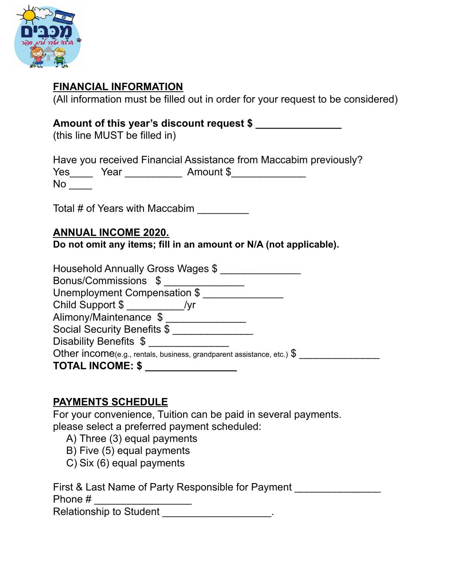

### **FINANCIAL INFORMATION**

(All information must be filled out in order for your request to be considered)

### **Amount of this year's discount request \$ \_\_\_\_\_\_\_\_\_\_\_\_\_\_\_**

(this line MUST be filled in)

Have you received Financial Assistance from Maccabim previously? Yes\_\_\_\_ Year \_\_\_\_\_\_\_\_\_\_ Amount \$\_\_\_\_\_\_\_\_\_\_\_\_\_  $No$   $\_\_$ 

Total # of Years with Maccabim \_\_\_\_\_\_\_\_\_

#### **ANNUAL INCOME 2020.**

**Do not omit any items; fill in an amount or N/A (not applicable).**

| Household Annually Gross Wages \$                                                 |  |
|-----------------------------------------------------------------------------------|--|
| Bonus/Commissions \$                                                              |  |
| Unemployment Compensation \$                                                      |  |
|                                                                                   |  |
| Alimony/Maintenance \$                                                            |  |
| Social Security Benefits \$                                                       |  |
| Disability Benefits \$                                                            |  |
| Other income(e.g., rentals, business, grandparent assistance, etc.) $\frac{1}{2}$ |  |
| <b>TOTAL INCOME: \$</b>                                                           |  |

### **PAYMENTS SCHEDULE**

For your convenience, Tuition can be paid in several payments. please select a preferred payment scheduled:

- A) Three (3) equal payments
- B) Five (5) equal payments
- C) Six (6) equal payments

First & Last Name of Party Responsible for Payment Phone # \_\_\_\_\_\_\_\_\_\_\_\_\_\_\_\_\_

Relationship to Student **Exercise 20** Figures 20 Figures 20 Figures 20 Figures 20 Figures 20 Figures 20 Figures